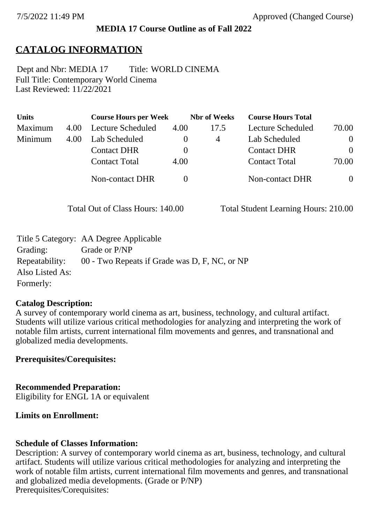### **MEDIA 17 Course Outline as of Fall 2022**

# **CATALOG INFORMATION**

Full Title: Contemporary World Cinema Last Reviewed: 11/22/2021 Dept and Nbr: MEDIA 17 Title: WORLD CINEMA

| <b>Units</b> |      | <b>Course Hours per Week</b> |      | <b>Nbr</b> of Weeks | <b>Course Hours Total</b> |                |
|--------------|------|------------------------------|------|---------------------|---------------------------|----------------|
| Maximum      | 4.00 | Lecture Scheduled            | 4.00 | 17.5                | Lecture Scheduled         | 70.00          |
| Minimum      | 4.00 | Lab Scheduled                |      | 4                   | Lab Scheduled             | $\overline{0}$ |
|              |      | <b>Contact DHR</b>           |      |                     | <b>Contact DHR</b>        | $\theta$       |
|              |      | <b>Contact Total</b>         | 4.00 |                     | <b>Contact Total</b>      | 70.00          |
|              |      | Non-contact DHR              |      |                     | <b>Non-contact DHR</b>    | $\overline{0}$ |

Total Out of Class Hours: 140.00 Total Student Learning Hours: 210.00

|                 | Title 5 Category: AA Degree Applicable        |
|-----------------|-----------------------------------------------|
| Grading:        | Grade or P/NP                                 |
| Repeatability:  | 00 - Two Repeats if Grade was D, F, NC, or NP |
| Also Listed As: |                                               |
| Formerly:       |                                               |

#### **Catalog Description:**

A survey of contemporary world cinema as art, business, technology, and cultural artifact. Students will utilize various critical methodologies for analyzing and interpreting the work of notable film artists, current international film movements and genres, and transnational and globalized media developments.

### **Prerequisites/Corequisites:**

**Recommended Preparation:** Eligibility for ENGL 1A or equivalent

### **Limits on Enrollment:**

### **Schedule of Classes Information:**

Description: A survey of contemporary world cinema as art, business, technology, and cultural artifact. Students will utilize various critical methodologies for analyzing and interpreting the work of notable film artists, current international film movements and genres, and transnational and globalized media developments. (Grade or P/NP) Prerequisites/Corequisites: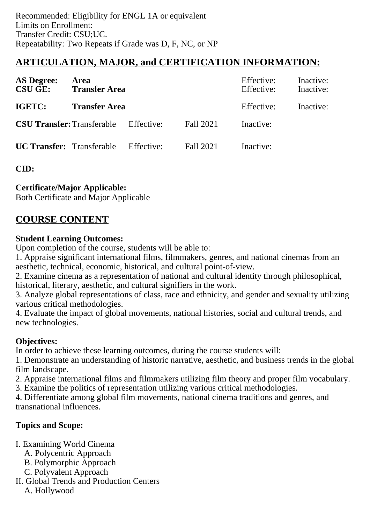# **ARTICULATION, MAJOR, and CERTIFICATION INFORMATION:**

| <b>AS Degree:</b><br><b>CSU GE:</b> | Area<br><b>Transfer Area</b>                 |           | Effective:<br>Effective: | Inactive:<br>Inactive: |
|-------------------------------------|----------------------------------------------|-----------|--------------------------|------------------------|
| IGETC:                              | <b>Transfer Area</b>                         |           | Effective:               | Inactive:              |
|                                     | <b>CSU Transfer:</b> Transferable Effective: | Fall 2021 | Inactive:                |                        |
|                                     | <b>UC Transfer:</b> Transferable Effective:  | Fall 2021 | Inactive:                |                        |

**CID:**

## **Certificate/Major Applicable:**

[Both Certificate and Major Applicable](SR_ClassCheck.aspx?CourseKey=MEDIA17)

# **COURSE CONTENT**

### **Student Learning Outcomes:**

Upon completion of the course, students will be able to:

1. Appraise significant international films, filmmakers, genres, and national cinemas from an aesthetic, technical, economic, historical, and cultural point-of-view.

2. Examine cinema as a representation of national and cultural identity through philosophical, historical, literary, aesthetic, and cultural signifiers in the work.

3. Analyze global representations of class, race and ethnicity, and gender and sexuality utilizing various critical methodologies.

4. Evaluate the impact of global movements, national histories, social and cultural trends, and new technologies.

### **Objectives:**

In order to achieve these learning outcomes, during the course students will:

1. Demonstrate an understanding of historic narrative, aesthetic, and business trends in the global film landscape.

2. Appraise international films and filmmakers utilizing film theory and proper film vocabulary.

3. Examine the politics of representation utilizing various critical methodologies.

4. Differentiate among global film movements, national cinema traditions and genres, and transnational influences.

## **Topics and Scope:**

- I. Examining World Cinema
	- A. Polycentric Approach
	- B. Polymorphic Approach
	- C. Polyvalent Approach
- II. Global Trends and Production Centers
	- A. Hollywood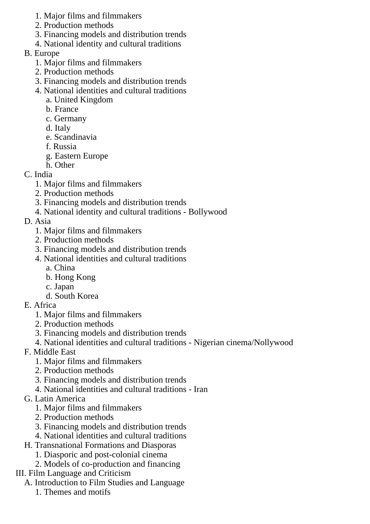- 1. Major films and filmmakers
- 2. Production methods
- 3. Financing models and distribution trends
- 4. National identity and cultural traditions
- B. Europe
	- 1. Major films and filmmakers
	- 2. Production methods
	- 3. Financing models and distribution trends
	- 4. National identities and cultural traditions
		- a. United Kingdom
		- b. France
		- c. Germany
		- d. Italy
		- e. Scandinavia
		- f. Russia
		- g. Eastern Europe
		- h. Other
- C. India
	- 1. Major films and filmmakers
	- 2. Production methods
	- 3. Financing models and distribution trends
	- 4. National identity and cultural traditions Bollywood
- D. Asia
	- 1. Major films and filmmakers
	- 2. Production methods
	- 3. Financing models and distribution trends
	- 4. National identities and cultural traditions
		- a. China
		- b. Hong Kong
		- c. Japan
		- d. South Korea
- E. Africa
	- 1. Major films and filmmakers
	- 2. Production methods
	- 3. Financing models and distribution trends
	- 4. National identities and cultural traditions Nigerian cinema/Nollywood
- F. Middle East
	- 1. Major films and filmmakers
	- 2. Production methods
	- 3. Financing models and distribution trends
	- 4. National identities and cultural traditions Iran
- G. Latin America
	- 1. Major films and filmmakers
	- 2. Production methods
	- 3. Financing models and distribution trends
	- 4. National identities and cultural traditions
- H. Transnational Formations and Diasporas
	- 1. Diasporic and post-colonial cinema
		- 2. Models of co-production and financing
- III. Film Language and Criticism
	- A. Introduction to Film Studies and Language
		- 1. Themes and motifs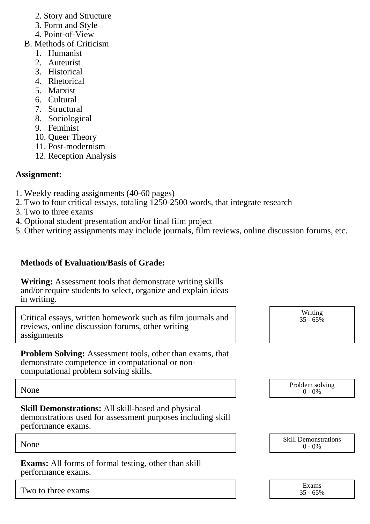- 2. Story and Structure
- 3. Form and Style
- 4. Point-of-View
- B. Methods of Criticism
	- 1. Humanist
	- 2. Auteurist
	- 3. Historical
	- 4. Rhetorical
	- 5. Marxist
	- 6. Cultural
	- 7. Structural
	- 8. Sociological
	- 9. Feminist
	- 10. Queer Theory
	- 11. Post-modernism
	- 12. Reception Analysis

## **Assignment:**

- 1. Weekly reading assignments (40-60 pages)
- 2. Two to four critical essays, totaling 1250-2500 words, that integrate research
- 3. Two to three exams
- 4. Optional student presentation and/or final film project
- 5. Other writing assignments may include journals, film reviews, online discussion forums, etc.

## **Methods of Evaluation/Basis of Grade:**

**Writing:** Assessment tools that demonstrate writing skills and/or require students to select, organize and explain ideas in writing.

Critical essays, written homework such as film journals and reviews, online discussion forums, other writing assignments

**Problem Solving:** Assessment tools, other than exams, that demonstrate competence in computational or noncomputational problem solving skills.

**Skill Demonstrations:** All skill-based and physical demonstrations used for assessment purposes including skill performance exams.

**Exams:** All forms of formal testing, other than skill performance exams.

Two to three exams

| Writing<br>35 - 65% |  |
|---------------------|--|
|                     |  |

None Problem solving and the Problem solving problem solving and the Problem solving problem solving  $0 - 0\%$  $0 - 0\%$ 



| Exams    |
|----------|
| 35 - 65% |